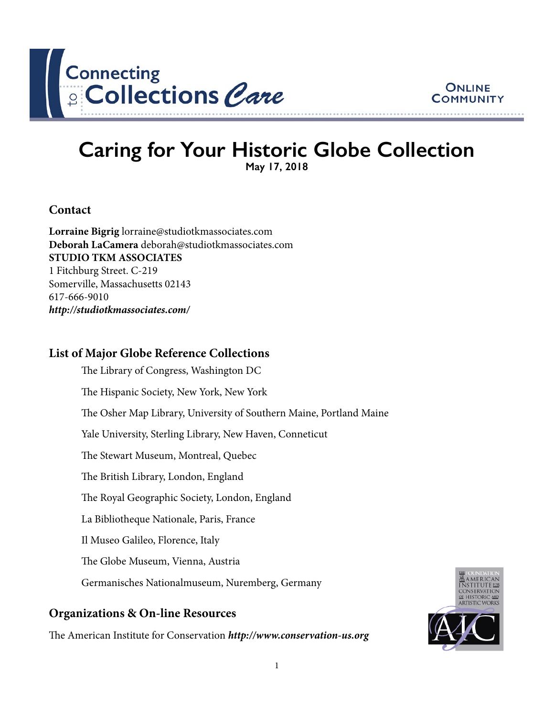



# **Caring for Your Historic Globe Collection May 17, 2018**

#### **Contact**

**Lorraine Bigrig** lorraine@studiotkmassociates.com **Deborah LaCamera** deborah@studiotkmassociates.com **STUDIO TKM ASSOCIATES** 1 Fitchburg Street. C-219 Somerville, Massachusetts 02143 617-666-9010 *<http://studiotkmassociates.com/>*

### **List of Major Globe Reference Collections**

The Library of Congress, Washington DC The Hispanic Society, New York, New York The Osher Map Library, University of Southern Maine, Portland Maine Yale University, Sterling Library, New Haven, Conneticut The Stewart Museum, Montreal, Quebec The British Library, London, England The Royal Geographic Society, London, England La Bibliotheque Nationale, Paris, France Il Museo Galileo, Florence, Italy The Globe Museum, Vienna, Austria Germanisches Nationalmuseum, Nuremberg, Germany

### **Organizations & On-line Resources**

The American Institute for Conservation *<http://www.conservation-us.org>*